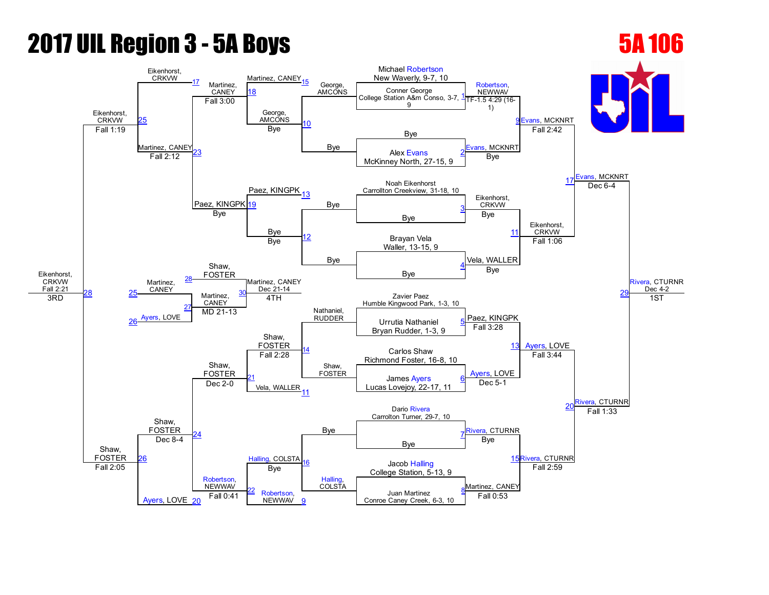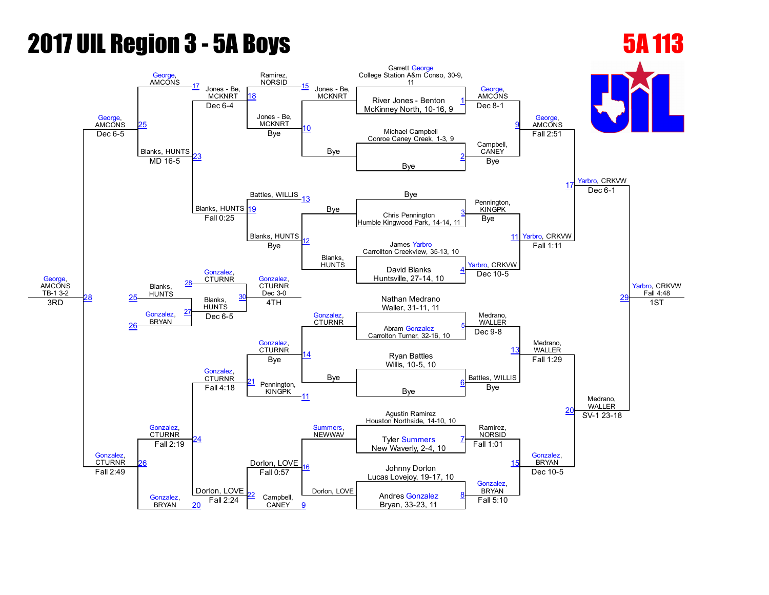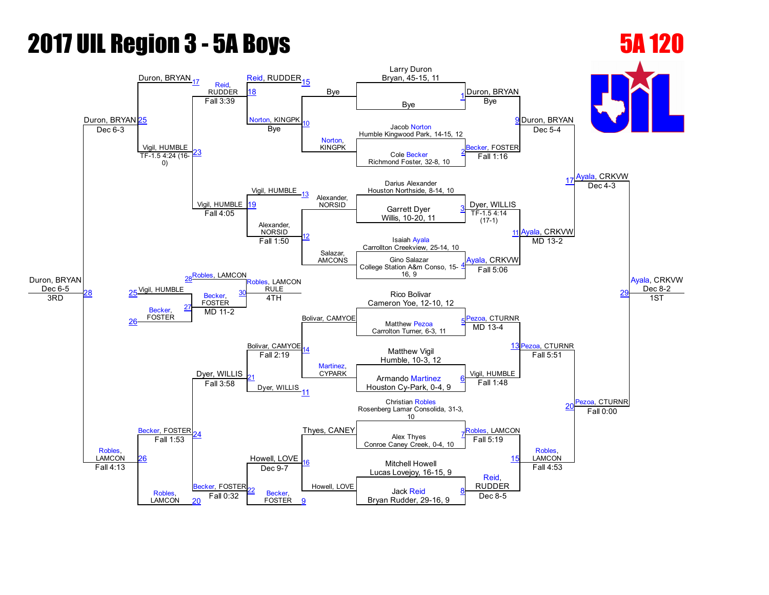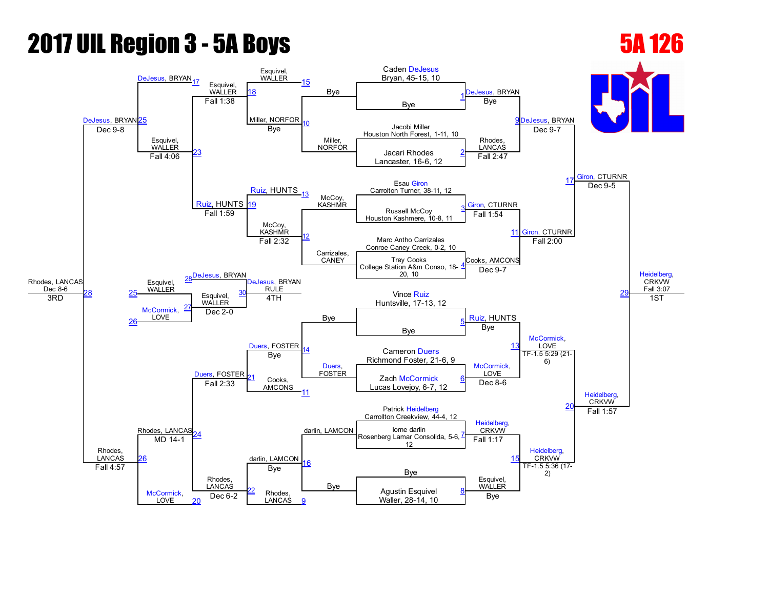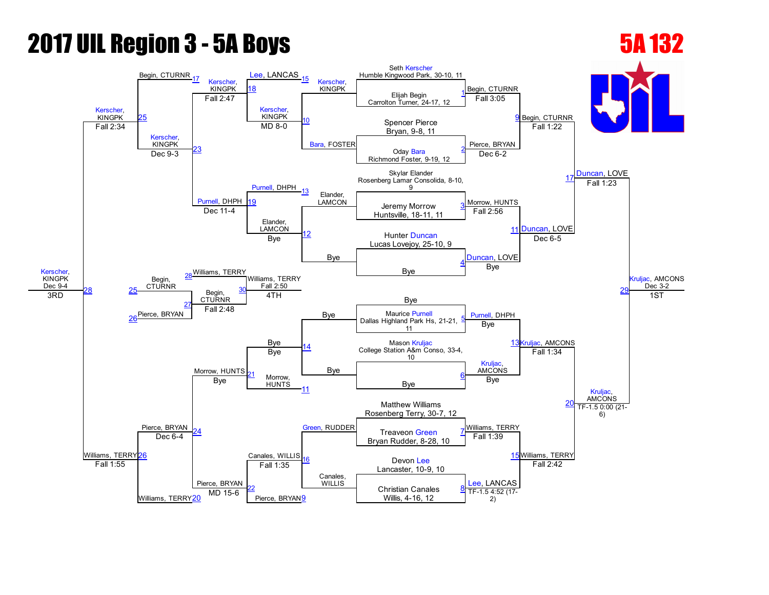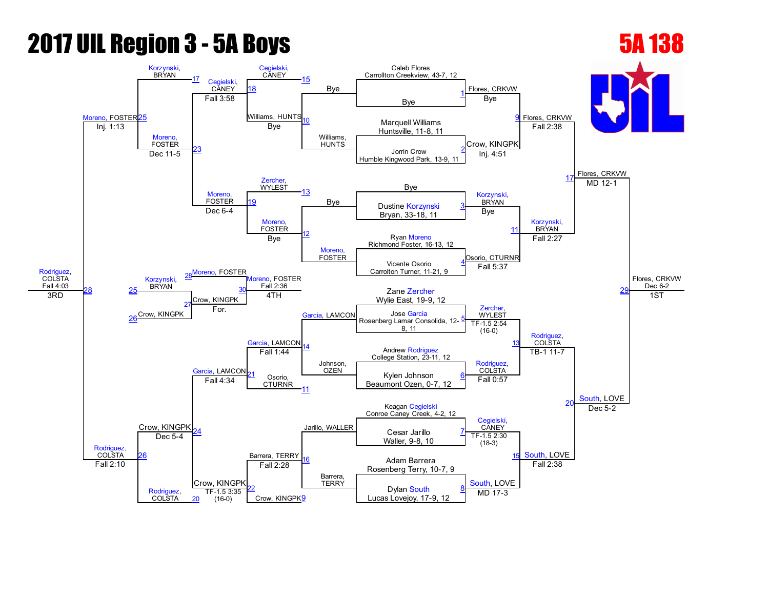### [Rodriguez,](javascript:viewProfile(245688096)) **COLSTA** Fall 4:03 [Moreno,](javascript:viewProfile(2110767009)) FOSTER<sup>[25](javascript:openBoutSheet(25,)</sup> [Korzynski](javascript:viewProfile(1414634096)),<br>BRYAN BRYAN [17](javascript:openBoutSheet(17,) [Cegielski,](javascript:viewProfile(53708076))<br>CANEY [Cegielski,](javascript:viewProfile(53708076)) CANEY [15](javascript:openBoutSheet(15,) Bye Caleb Flores Carrollton Creekview, 43-7, 12 Flores, CRKVW Flores, CRKVW Flores, CRKVW Flores, CRKVW Dec 6-2 [18](javascript:openBoutSheet(18,) Bye [1](javascript:openBoutSheet(1,) Fall 3:58 Williams, HUNTS [10](javascript:openBoutSheet(10,) Williams, HUNTS<sup>®</sup> Bye **Marquell Williams** Huntsville, 11-8, 11 Inj. 1:13 [Moreno,](javascript:viewProfile(2110767009)) FOSTER [23](javascript:openBoutSheet(23,) Bye Crow, KINGPK Fall 2:38 Jorrin Crow Humble Kingwood Park, 13-9, 11  $\frac{23}{\text{Dec 11-5}}$  $\frac{23}{\text{Dec 11-5}}$  $\frac{23}{\text{Dec 11-5}}$   $\frac{23}{\text{Dec 11-5}}$ [Zercher](javascript:viewProfile(30858071)), **WYLEST** Inj. 4:51 [17](javascript:openBoutSheet(17,) Bye [Moreno,](javascript:viewProfile(2110767009)) FOSTER [13](javascript:openBoutSheet(13,) Bye [Korzynski,](javascript:viewProfile(1414634096)) BRYAN MD 12-1 [19](javascript:openBoutSheet(19,) Dustine [Korzynski](javascript:viewProfile(1414634096)) [3](javascript:openBoutSheet(3,) Dec 64 Bryan, 33-18, 11 [Moreno](javascript:viewProfile(2110767009)), FOSTER [12](javascript:openBoutSheet(12,) [Moreno](javascript:viewProfile(2110767009)), FOSTER Bye [11](javascript:openBoutSheet(11,) [Korzynski,](javascript:viewProfile(1414634096)) **BRYAN** Ryan [Moreno](javascript:viewProfile(2110767009)) Richmond Foster, 16-13, 12 28[Moreno](javascript:viewProfile(2110767009)), FOSTER Bye Osorio, CTURNR Fall 2:27  $29$ Vicente Osorio Carrolton Turner, 11-21, 9 [4](javascript:openBoutSheet(4,) [Korzynski,](javascript:viewProfile(1414634096)) **BRYAN** oreno, FOSTER Fall 2:36 [Garcia,](javascript:viewProfile(1346845009)) LAMCON Fall 5:37 [28](javascript:openBoutSheet(28,) [25](javascript:openBoutSheet(25,) Crow, KINGPK Zane [Zercher](javascript:viewProfile(30858071)) Wylie East, 19-9, 12 3RD Crow, KINGPK [27](javascript:openBoutSheet(27,) 4TH [Zercher](javascript:viewProfile(30858071)), **WYLEST** [Rodriguez,](javascript:viewProfile(245688096)) COLSTA 1ST [26](javascript:openBoutSheet(26,) For. Jose [Garcia](javascript:viewProfile(1346845009)) Rosenberg Lamar Consolida, 12 8, 11 [5](javascript:openBoutSheet(5,) Crow, KINGPK [Garcia](javascript:viewProfile(1346845009)), LAMCON Johnson, OZEN TF-1.5 2:54  $(16-0)$ [13](javascript:openBoutSheet(13,) [Rodriguez,](javascript:viewProfile(245688096)) **COLSTA** [Garcia,](javascript:viewProfile(1346845009)) LAMCON<sub>21</sub> Andrew [Rodriguez](javascript:viewProfile(245688096)) College Station, 23-11, 12 Fall 1:44 [Rodriguez,](javascript:viewProfile(245688096)) COLSTA TB-1 11-7 [South,](javascript:viewProfile(2062538009)) LOVE Osorio. **CTURNR** Kylen Johnson Beaumont Ozen, 0-7, 12 [6](javascript:openBoutSheet(6,) Fall 4:34 [11](javascript:openBoutSheet(11,) Fall 0:57  $\overline{\mathcal{L}}$ Barrera, TERRY Keagan [Cegielski](javascript:viewProfile(53708076)) Conroe Caney Creek, 4-2, 12 [24](javascript:openBoutSheet(24,) Jarillo, WALLER [Cegielski,](javascript:viewProfile(53708076)) **CANEY** Dec 5-2 Cesar Jarillo Waller, 9-8, 10 [7](javascript:openBoutSheet(7,) [26](javascript:openBoutSheet(26,) Dec 5-4 [16](javascript:openBoutSheet(16,) Barrera, TERRY TF-1.5 2:30  $(18-3)$ [South](javascript:viewProfile(2062538009)), LOVE Adam Barrera Rosenberg Terry, 10-7, 9 Fall 2:10 [Rodriguez,](javascript:viewProfile(245688096)) **COLSTA** Crow, KINGPK Fall 2:28 [South,](javascript:viewProfile(2062538009)) LOVE Fall 2:38 [22](javascript:openBoutSheet(22,) (16-0) Crow, KINGPK<sup>[9](javascript:openBoutSheet(9,)</sup> Dylan [South](javascript:viewProfile(2062538009)) Lucas Lovejov, 17-9, 12 [8](javascript:openBoutSheet(8,) [20](javascript:openBoutSheet(20,)  $TF-1.5$  3:35<br>(16-0)  $MD$  17-3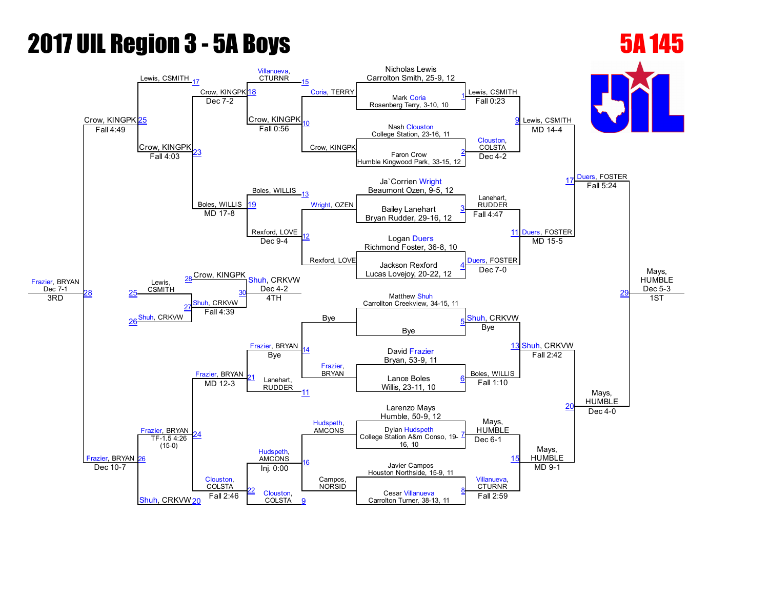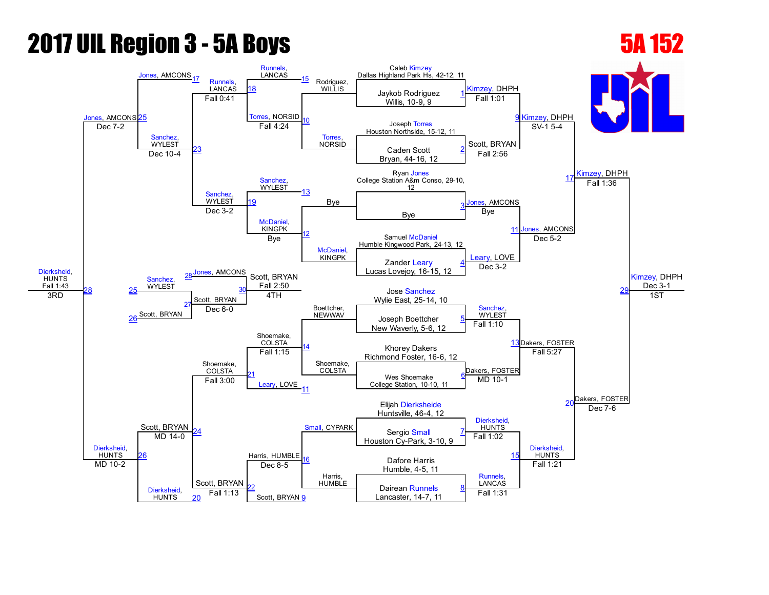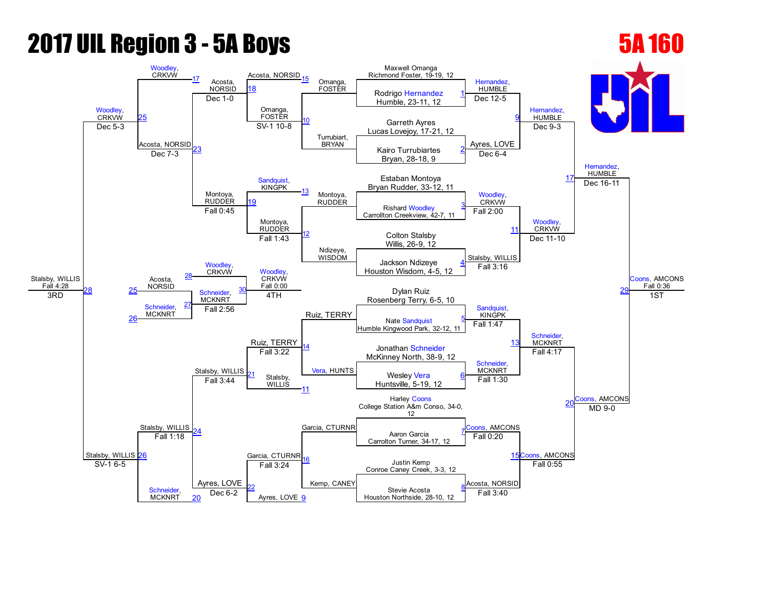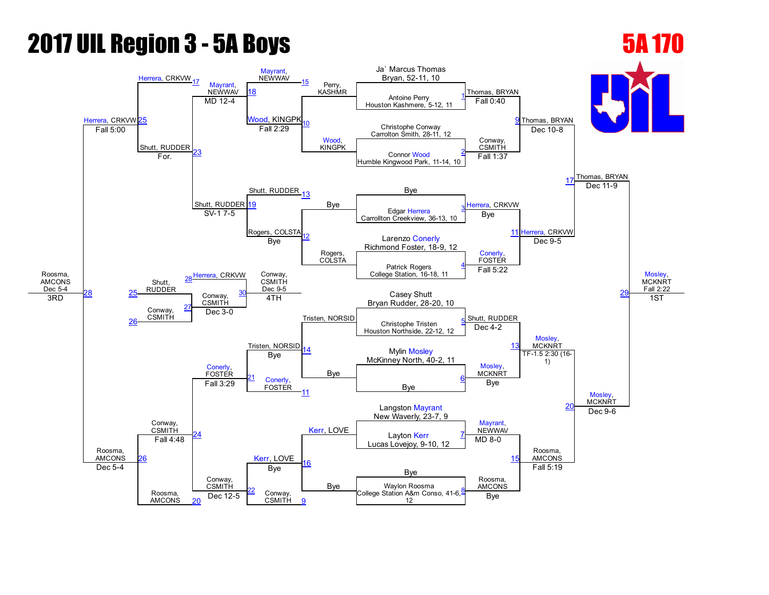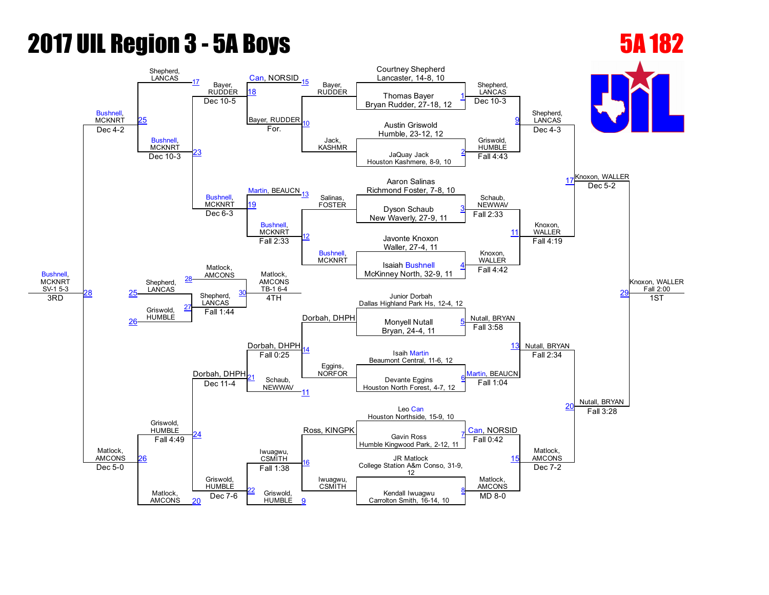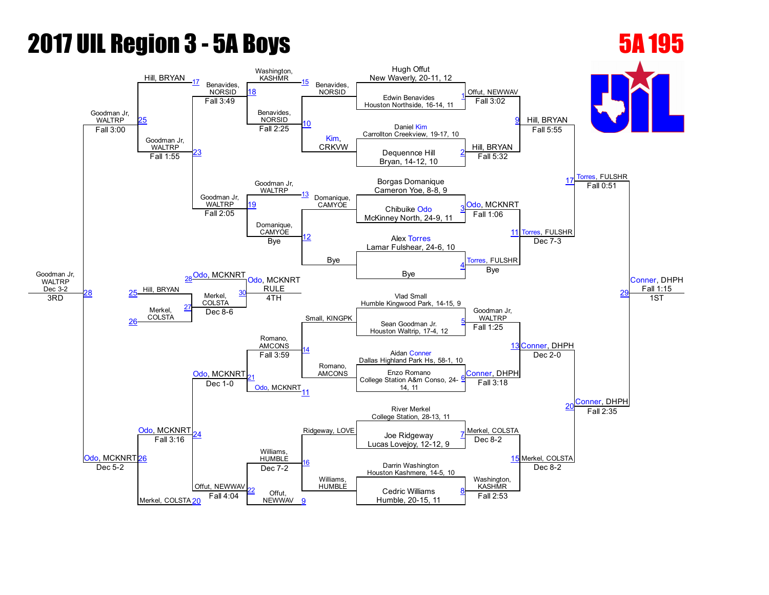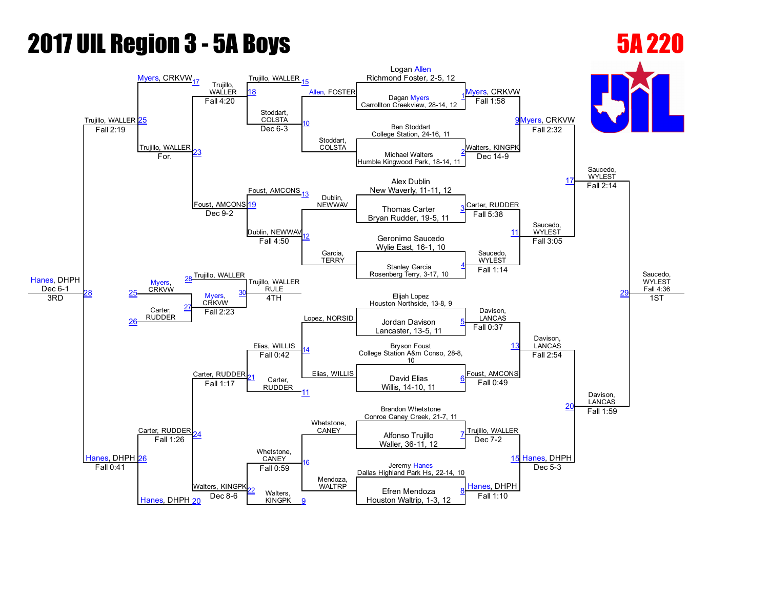